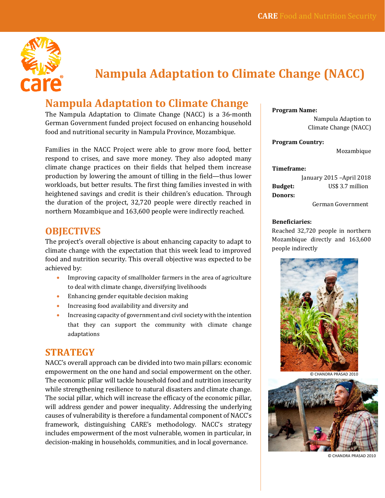

# **Nampula Adaptation to Climate Change (NACC)**

## **Nampula Adaptation to Climate Change**

The Nampula Adaptation to Climate Change (NACC) is a 36-month German Government funded project focused on enhancing household food and nutritional security in Nampula Province, Mozambique.

Families in the NACC Project were able to grow more food, better respond to crises, and save more money. They also adopted many climate change practices on their fields that helped them increase production by lowering the amount of tilling in the field—thus lower workloads, but better results. The first thing families invested in with heightened savings and credit is their children's education. Through the duration of the project, 32,720 people were directly reached in northern Mozambique and 163,600 people were indirectly reached.

## **OBJECTIVES**

The project's overall objective is about enhancing capacity to adapt to climate change with the expectation that this week lead to improved food and nutrition security. This overall objective was expected to be achieved by:

- Improving capacity of smallholder farmers in the area of agriculture to deal with climate change, diversifying livelihoods
- Enhancing gender equitable decision making
- Increasing food availability and diversity and
- Increasing capacity of government and civil society with the intention that they can support the community with climate change adaptations

## **STRATEGY**

NACC's overall approach can be divided into two main pillars: economic empowerment on the one hand and social empowerment on the other. The economic pillar will tackle household food and nutrition insecurity while strengthening resilience to natural disasters and climate change. The social pillar, which will increase the efficacy of the economic pillar, will address gender and power inequality. Addressing the underlying causes of vulnerability is therefore a fundamental component of NACC's framework, distinguishing CARE's methodology. NACC's strategy includes empowerment of the most vulnerable, women in particular, in decision-making in households, communities, and in local governance.

**Program Name:**

Nampula Adaption to Climate Change (NACC)

#### **Program Country:**

Mozambique

#### **Timeframe:**

January 2015 –April 2018 **Budget:** US\$ 3.7 million **Donors:**

German Government

#### **Beneficiaries:**

Reached 32,720 people in northern Mozambique directly and 163,600 people indirectly



© CHANDRA PRASAD 2010



© CHANDRA PRASAD 2010